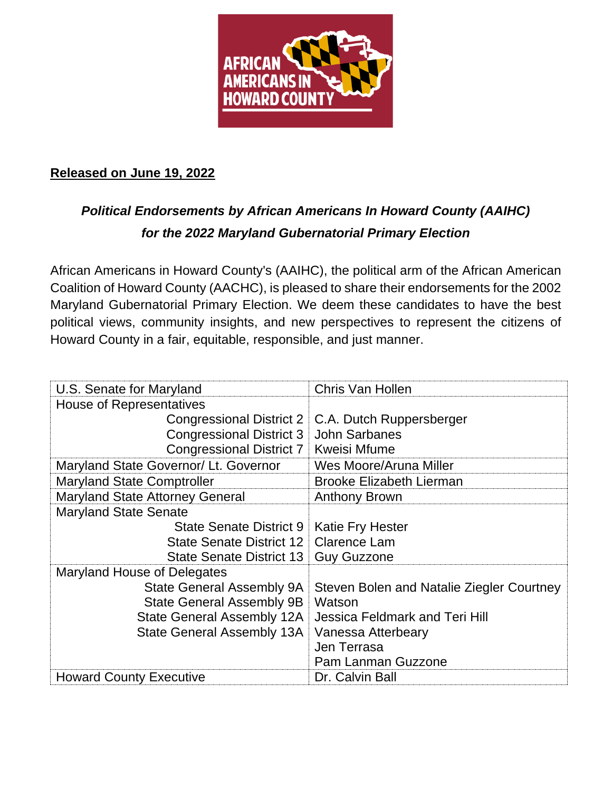

## **Released on June 19, 2022**

## *Political Endorsements by African Americans In Howard County (AAIHC) for the 2022 Maryland Gubernatorial Primary Election*

African Americans in Howard County's (AAIHC), the political arm of the African American Coalition of Howard County (AACHC), is pleased to share their endorsements for the 2002 Maryland Gubernatorial Primary Election. We deem these candidates to have the best political views, community insights, and new perspectives to represent the citizens of Howard County in a fair, equitable, responsible, and just manner.

| U.S. Senate for Maryland               | Chris Van Hollen                          |
|----------------------------------------|-------------------------------------------|
| <b>House of Representatives</b>        |                                           |
| Congressional District 2               | C.A. Dutch Ruppersberger                  |
| <b>Congressional District 3</b>        | <b>John Sarbanes</b>                      |
| <b>Congressional District 7</b>        | <b>Kweisi Mfume</b>                       |
| Maryland State Governor/ Lt. Governor  | Wes Moore/Aruna Miller                    |
| <b>Maryland State Comptroller</b>      | <b>Brooke Elizabeth Lierman</b>           |
| <b>Maryland State Attorney General</b> | <b>Anthony Brown</b>                      |
| <b>Maryland State Senate</b>           |                                           |
| State Senate District 9                | <b>Katie Fry Hester</b>                   |
| State Senate District 12               | <b>Clarence Lam</b>                       |
| State Senate District 13               | <b>Guy Guzzone</b>                        |
| Maryland House of Delegates            |                                           |
| State General Assembly 9A              | Steven Bolen and Natalie Ziegler Courtney |
| <b>State General Assembly 9B</b>       | Watson                                    |
| State General Assembly 12A             | <b>Jessica Feldmark and Teri Hill</b>     |
| <b>State General Assembly 13A</b>      | <b>Vanessa Atterbeary</b>                 |
|                                        | Jen Terrasa                               |
|                                        | Pam Lanman Guzzone                        |
| <b>Howard County Executive</b>         | Dr. Calvin Ball                           |